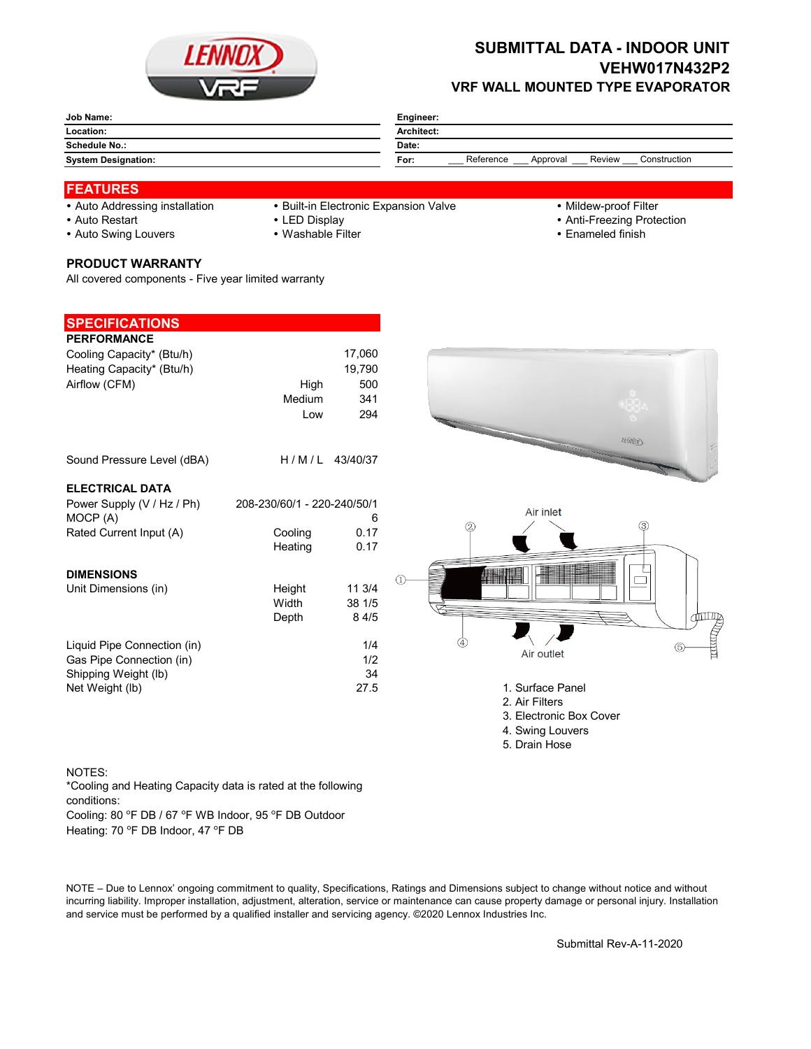

## **SUBMITTAL DATA - INDOOR UNIT VEHW017N432P2 VRF WALL MOUNTED TYPE EVAPORATOR**

| Job Name:                  | Engineer:                                               |  |  |
|----------------------------|---------------------------------------------------------|--|--|
| Location:                  | Architect:                                              |  |  |
| <b>Schedule No.:</b>       | Date:                                                   |  |  |
| <b>System Designation:</b> | Reference<br>Review<br>Construction<br>For:<br>Approval |  |  |

## **FEATURES**

- 
- Auto Addressing installation Built-in Electronic Expansion Valve Mildew-proof Filter
- 
- 
- 
- Auto Restart **LED Display Community Community Community Community Community Community Community Community Community Community Community Community Community Community Community Community Community Community Community Comm**
- Auto Swing Louvers Washable Filter **Enameled finish** Enameled finish
- **PRODUCT WARRANTY**

All covered components - Five year limited warranty

| <b>SPECIFICATIONS</b>       |                             |                    |                         |
|-----------------------------|-----------------------------|--------------------|-------------------------|
| <b>PERFORMANCE</b>          |                             |                    |                         |
| Cooling Capacity* (Btu/h)   |                             | 17,060             |                         |
| Heating Capacity* (Btu/h)   |                             | 19,790             |                         |
| Airflow (CFM)               | High                        | 500                |                         |
|                             | Medium                      | 341                |                         |
|                             | Low                         | 294                |                         |
|                             |                             |                    |                         |
|                             |                             |                    | 45000                   |
| Sound Pressure Level (dBA)  |                             | H / M / L 43/40/37 | <b>Concert Common</b>   |
|                             |                             |                    |                         |
| <b>ELECTRICAL DATA</b>      |                             |                    |                         |
| Power Supply (V / Hz / Ph)  | 208-230/60/1 - 220-240/50/1 |                    |                         |
| MOCP (A)                    |                             | 6                  | Air inlet               |
| Rated Current Input (A)     | Cooling                     | 0.17               | (3)<br>2                |
|                             | Heating                     | 0.17               |                         |
|                             |                             |                    |                         |
| <b>DIMENSIONS</b>           |                             |                    |                         |
| Unit Dimensions (in)        | Height                      | 11 3/4             |                         |
|                             | Width                       | 38 1/5             |                         |
|                             | Depth                       | 8 4/5              | đШ                      |
|                             |                             |                    |                         |
| Liquid Pipe Connection (in) |                             | 1/4                | 5                       |
| Gas Pipe Connection (in)    |                             | 1/2                | Air outlet              |
| Shipping Weight (lb)        |                             | 34                 |                         |
| Net Weight (lb)             |                             | 27.5               | 1. Surface Panel        |
|                             |                             |                    | 2. Air Filters          |
|                             |                             |                    | 3. Electronic Box Cover |
|                             |                             |                    | 4. Swing Louvers        |
|                             |                             |                    | 5. Drain Hose           |

## NOTES:

Cooling: 80 °F DB / 67 °F WB Indoor, 95 °F DB Outdoor \*Cooling and Heating Capacity data is rated at the following conditions:

Heating: 70 °F DB Indoor, 47 °F DB

NOTE – Due to Lennox' ongoing commitment to quality, Specifications, Ratings and Dimensions subject to change without notice and without incurring liability. Improper installation, adjustment, alteration, service or maintenance can cause property damage or personal injury. Installation and service must be performed by a qualified installer and servicing agency. ©2020 Lennox Industries Inc.